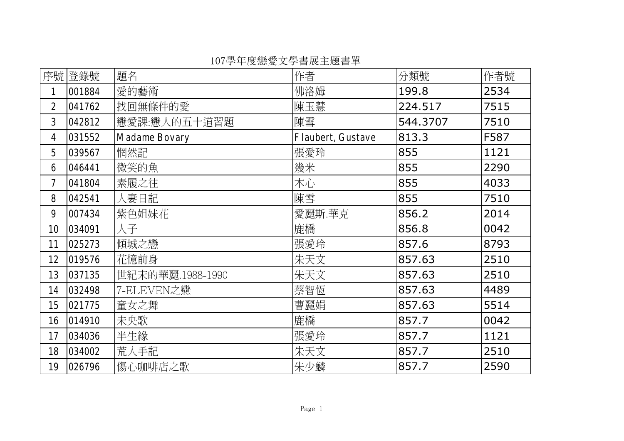序號登錄號 作者 分類號 作者號 題名 1 |001884 |愛的藝術 |佛洛姆 |199.8 |2534 2 041762 224.517 7515 3 |042812 |戀愛課:戀人的五十道習題 |陳雪 | 544.3707 | 7510 4 | 031552 | Madame Bovary | Flaubert, Gustave | 813.3 | F587 5 |039567 |惘然記 |張愛玲 |855 |1121 6 |046441 |微笑的魚 |幾米 |855 |2290 7 |041804 |素履之往 |木心 |855 |4033 8 |042541 |人妻日記 |陳雪 |855 |7510 9 007434 856.2 2014 10 |034091 |人子 |鹿橋 |856.8 |0042 11 |025273 |傾城之戀 |張愛玲 |857.6 |8793 12 |019576 |花憶前身 |朱天文 |857.63 |2510 13 | 037135 | 世紀末的華麗.1988-1990 | 朱天文 | 857.63 | 2510 14 |032498 |7-ELEVEN之戀 |857.63 |4489 15 |021775 |童女之舞 |曹麗娟 |857.63 |5514 16 |014910 |未央歌 |鹿橋 |857.7 |0042 17 |034036 |半生緣 |張愛玲 |857.7 |1121 18 |034002 |荒人手記 |朱天文 |857.7 |2510 19 |026796 | 傷心咖啡店之歌 |朱少麟 |857.7 |2590

107學年度戀愛文學書展主題書單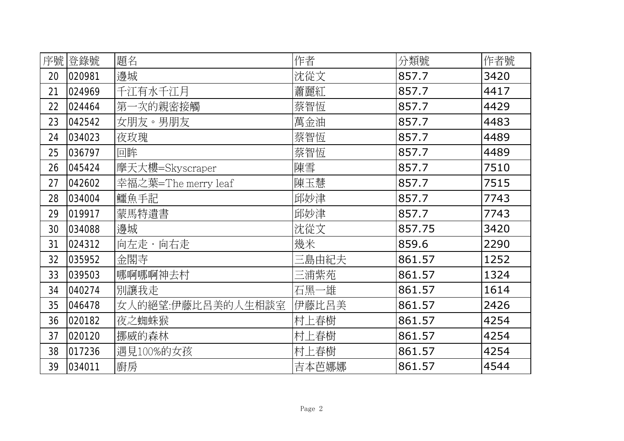| 序號 | 登錄號    | 題名                  | 作者    | 分類號    | 作者號  |
|----|--------|---------------------|-------|--------|------|
| 20 | 020981 | 邊城                  | 沈從文   | 857.7  | 3420 |
| 21 | 024969 | 千江有水千江月             | 蕭麗紅   | 857.7  | 4417 |
| 22 | 024464 | 第一次的親密接觸            | 蔡智恆   | 857.7  | 4429 |
| 23 | 042542 | 女朋友。男朋友             | 萬金油   | 857.7  | 4483 |
| 24 | 034023 | 夜玫瑰                 | 蔡智恆   | 857.7  | 4489 |
| 25 | 036797 | 回眸                  | 蔡智恆   | 857.7  | 4489 |
| 26 | 045424 | 摩天大樓=Skyscraper     | 陳雪    | 857.7  | 7510 |
| 27 | 042602 | 幸福之葉=The merry leaf | 陳玉慧   | 857.7  | 7515 |
| 28 | 034004 | 鱷魚手記                | 邱妙津   | 857.7  | 7743 |
| 29 | 019917 | 蒙馬特遺書               | 邱妙津   | 857.7  | 7743 |
| 30 | 034088 | 邊城                  | 沈從文   | 857.75 | 3420 |
| 31 | 024312 | 向左走・向右走             | 幾米    | 859.6  | 2290 |
| 32 | 035952 | 金閣寺                 | 三島由紀夫 | 861.57 | 1252 |
| 33 | 039503 | 哪啊哪啊神去村             | 三浦紫苑  | 861.57 | 1324 |
| 34 | 040274 | 別讓我走                | 石黑一雄  | 861.57 | 1614 |
| 35 | 046478 | 女人的絕望:伊藤比呂美的人生相談室   | 伊藤比呂美 | 861.57 | 2426 |
| 36 | 020182 | 夜之蜘蛛猴               | 村上春樹  | 861.57 | 4254 |
| 37 | 020120 | 挪威的森林               | 村上春樹  | 861.57 | 4254 |
| 38 | 017236 | 遇見100%的女孩           | 村上春樹  | 861.57 | 4254 |
| 39 | 034011 | 廚房                  | 吉本芭娜娜 | 861.57 | 4544 |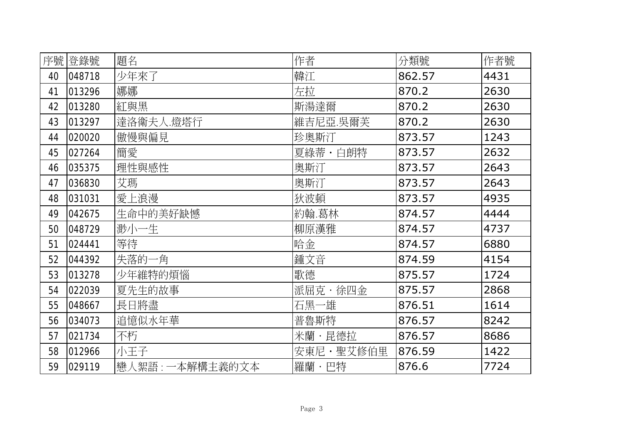| 序號 | 登錄號    | 題名              | 作者        | 分類號    | 作者號  |
|----|--------|-----------------|-----------|--------|------|
| 40 | 048718 | 少年來了            | 韓江        | 862.57 | 4431 |
| 41 | 013296 | 娜娜              | 左拉        | 870.2  | 2630 |
| 42 | 013280 | 紅與黑             | 斯湯達爾      | 870.2  | 2630 |
| 43 | 013297 | 達洛衛夫人燈塔行        | 維吉尼亞.吳爾芙  | 870.2  | 2630 |
| 44 | 020020 | 傲慢與偏見           | 珍奧斯汀      | 873.57 | 1243 |
| 45 | 027264 | 簡愛              | 夏綠蒂・白朗特   | 873.57 | 2632 |
| 46 | 035375 | 理性與感性           | 奧斯汀       | 873.57 | 2643 |
| 47 | 036830 | 艾瑪              | 奧斯汀       | 873.57 | 2643 |
| 48 | 031031 | 愛上浪漫            | 狄波頓       | 873.57 | 4935 |
| 49 | 042675 | 生命中的美好缺憾        | 約翰.葛林     | 874.57 | 4444 |
| 50 | 048729 | 渺小一生            | 柳原漢雅      | 874.57 | 4737 |
| 51 | 024441 | 等待              | 哈金        | 874.57 | 6880 |
| 52 | 044392 | 失落的一角           | 鍾文音       | 874.59 | 4154 |
| 53 | 013278 | 少年維特的煩惱         | 歌德        | 875.57 | 1724 |
| 54 | 022039 | 夏先生的故事          | 派屈克・徐四金   | 875.57 | 2868 |
| 55 | 048667 | 長日將盡            | 石黑一雄      | 876.51 | 1614 |
| 56 | 034073 | 追憶似水年華          | 普魯斯特      | 876.57 | 8242 |
| 57 | 021734 | 不朽              | 米蘭・昆德拉    | 876.57 | 8686 |
| 58 | 012966 | 小王子             | 安東尼·聖艾修伯里 | 876.59 | 1422 |
| 59 | 029119 | 戀人絮語: 一本解構主義的文本 | 羅蘭・巴特     | 876.6  | 7724 |